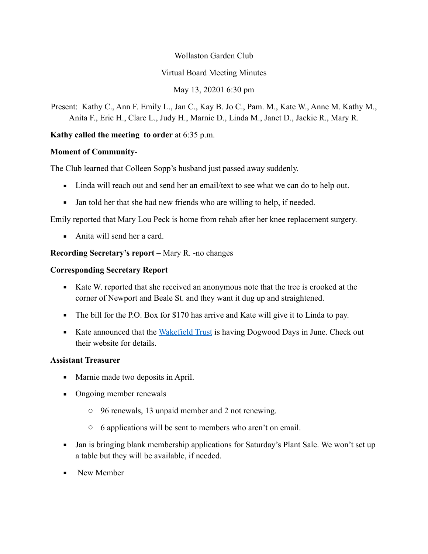### Wollaston Garden Club

## Virtual Board Meeting Minutes

# May 13, 20201 6:30 pm

Present: Kathy C., Ann F. Emily L., Jan C., Kay B. Jo C., Pam. M., Kate W., Anne M. Kathy M., Anita F., Eric H., Clare L., Judy H., Marnie D., Linda M., Janet D., Jackie R., Mary R.

# **Kathy called the meeting to order** at 6:35 p.m.

## **Moment of Community**-

The Club learned that Colleen Sopp's husband just passed away suddenly.

- Linda will reach out and send her an email/text to see what we can do to help out.
- Jan told her that she had new friends who are willing to help, if needed.

Emily reported that Mary Lou Peck is home from rehab after her knee replacement surgery.

 $\blacksquare$  Anita will send her a card.

# **Recording Secretary's report –** Mary R. -no changes

## **Corresponding Secretary Report**

- Kate W. reported that she received an anonymous note that the tree is crooked at the corner of Newport and Beale St. and they want it dug up and straightened.
- The bill for the P.O. Box for \$170 has arrive and Kate will give it to Linda to pay.
- Kate announced that the [Wakefield Trust](https://www.wakefieldtrust.org/) is having Dogwood Days in June. Check out their website for details.

## **Assistant Treasurer**

- Marnie made two deposits in April.
- Ongoing member renewals
	- o 96 renewals, 13 unpaid member and 2 not renewing.
	- o 6 applications will be sent to members who aren't on email.
- Jan is bringing blank membership applications for Saturday's Plant Sale. We won't set up a table but they will be available, if needed.
- New Member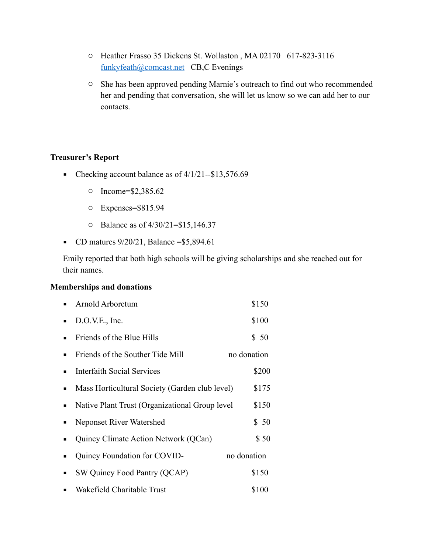- o Heather Frasso 35 Dickens St. Wollaston , MA 02170 617-823-3116 [funkyfeath@comcast.net](mailto:funkyfeath@comcast.net) CB,C Evenings
- o She has been approved pending Marnie's outreach to find out who recommended her and pending that conversation, she will let us know so we can add her to our contacts.

#### **Treasurer's Report**

- Checking account balance as of  $4/1/21 $13,576.69$ 
	- o Income=\$2,385.62
	- o Expenses=\$815.94
	- o Balance as of 4/30/21=\$15,146.37
- CD matures  $9/20/21$ , Balance = \$5,894.61

Emily reported that both high schools will be giving scholarships and she reached out for their names.

### **Memberships and donations**

|                | Arnold Arboretum                                | \$150       |
|----------------|-------------------------------------------------|-------------|
| $\blacksquare$ | D.O.V.E., Inc.                                  | \$100       |
| $\blacksquare$ | Friends of the Blue Hills                       | \$50        |
| $\blacksquare$ | Friends of the Souther Tide Mill                | no donation |
| п              | Interfaith Social Services                      | \$200       |
| ٠              | Mass Horticultural Society (Garden club level)  | \$175       |
| $\blacksquare$ | Native Plant Trust (Organizational Group level) | \$150       |
| ٠              | Neponset River Watershed                        | \$50        |
|                | Quincy Climate Action Network (QCan)            | \$50        |
| п              | Quincy Foundation for COVID-<br>no donation     |             |
| ٠              | SW Quincy Food Pantry (QCAP)                    | \$150       |
|                | Wakefield Charitable Trust                      | \$100       |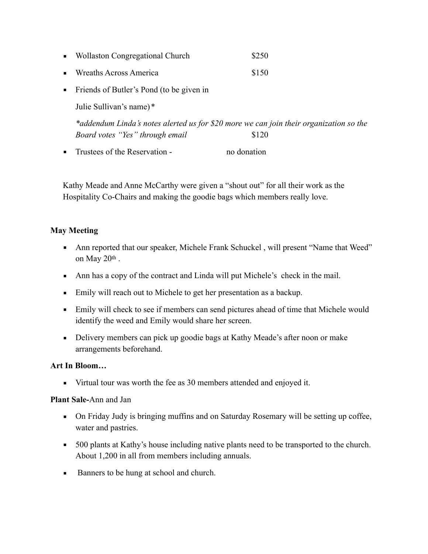| $\blacksquare$ | <b>Wollaston Congregational Church</b> | \$250 |
|----------------|----------------------------------------|-------|
|                | <b>Wreaths Across America</b>          | \$150 |

**•** Friends of Butler's Pond (to be given in

Julie Sullivan's name) \*

*\*addendum Linda's notes alerted us for \$20 more we can join their organization so the Board votes "Yes" through email* \$120

**Example 1** Trustees of the Reservation - no donation

Kathy Meade and Anne McCarthy were given a "shout out" for all their work as the Hospitality Co-Chairs and making the goodie bags which members really love.

## **May Meeting**

- Ann reported that our speaker, Michele Frank Schuckel, will present "Name that Weed" on May 20th .
- Ann has a copy of the contract and Linda will put Michele's check in the mail.
- Emily will reach out to Michele to get her presentation as a backup.
- **Emily will check to see if members can send pictures ahead of time that Michele would** identify the weed and Emily would share her screen.
- **•** Delivery members can pick up goodie bags at Kathy Meade's after noon or make arrangements beforehand.

## **Art In Bloom…**

▪ Virtual tour was worth the fee as 30 members attended and enjoyed it.

## **Plant Sale-**Ann and Jan

- On Friday Judy is bringing muffins and on Saturday Rosemary will be setting up coffee, water and pastries.
- 500 plants at Kathy's house including native plants need to be transported to the church. About 1,200 in all from members including annuals.
- Banners to be hung at school and church.